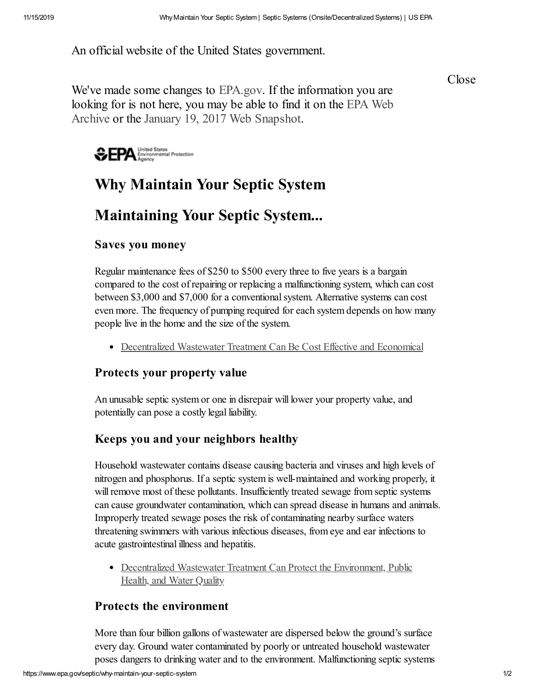An official website of the United States government.

Close

We've made some changes to [EPA.gov](https://www.epa.gov/). If the information you are looking for is not here, you may be able to find it on the EPA Web Archive or the January 19, 2017 Web [Snapshot.](https://archive.epa.gov/)



# **Why Maintain Your Septic System**

## **Maintaining Your Septic System...**

#### **Saves you money**

Regular maintenance fees of \$250 to \$500 every three to five years is a bargain compared to the cost of repairing or replacing a malfunctioning system, which can cost between \$3,000 and \$7,000 for a conventional system. Alternative systems can cost even more. The frequency of pumping required for each system depends on how many people live in the home and the size of the system.

[Decentralized Wastewater Treatment Can Be Cost Effective and Economical](https://www.epa.gov/septic/maintaining-your-septic-system)

#### **Protects your property value**

An unusable septic system or one in disrepair will lower your property value, and potentially can pose a costly legal liability.

### **Keeps you and your neighbors healthy**

Household wastewater contains disease causing bacteria and viruses and high levels of nitrogen and phosphorus. If a septic system is well-maintained and working properly, it will remove most of these pollutants. Insufficiently treated sewage from septic systems can cause groundwater contamination, which can spread disease in humans and animals. Improperly treated sewage poses the risk of contaminating nearby surface waters threatening swimmers with various infectious diseases, from eye and ear infections to acute gastrointestinal illness and hepatitis.

• [Decentralized Wastewater Treatment Can Protect the Environment, Public](https://www.epa.gov/septic/maintaining-your-septic-system) Health, and Water Quality

#### **Protects the environment**

More than four billion gallons of wastewater are dispersed below the ground's surface every day. Ground water contaminated by poorly or untreated household wastewater poses dangers to drinking water and to the environment. Malfunctioning septic systems